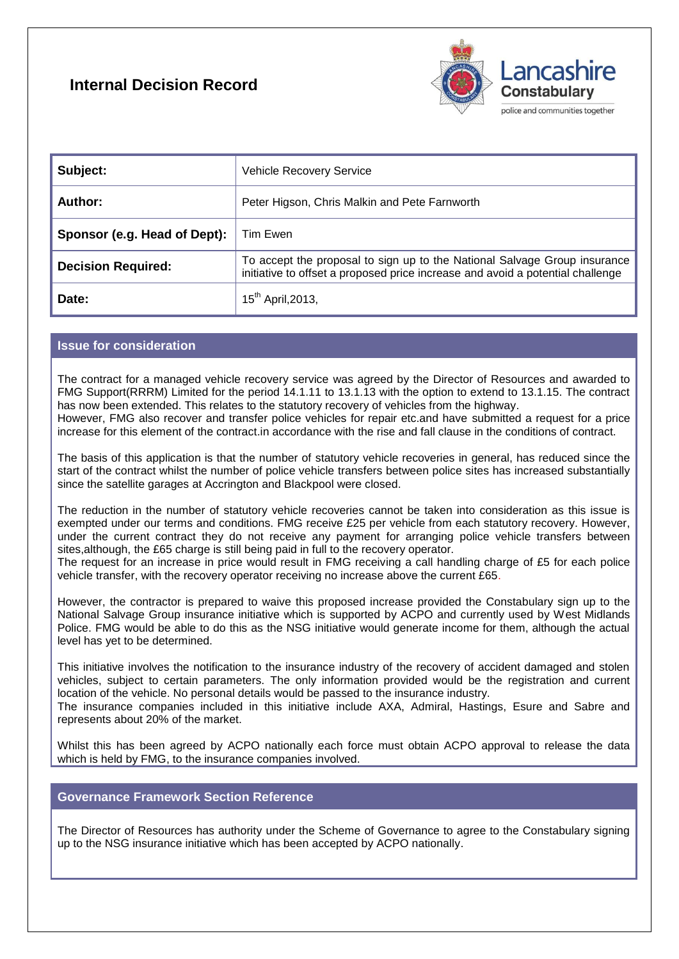# **Internal Decision Record**



| Subject:                     | <b>Vehicle Recovery Service</b>                                                                                                                             |
|------------------------------|-------------------------------------------------------------------------------------------------------------------------------------------------------------|
| Author:                      | Peter Higson, Chris Malkin and Pete Farnworth                                                                                                               |
| Sponsor (e.g. Head of Dept): | Tim Ewen                                                                                                                                                    |
| <b>Decision Required:</b>    | To accept the proposal to sign up to the National Salvage Group insurance<br>initiative to offset a proposed price increase and avoid a potential challenge |
| Date:                        | 15 <sup>th</sup> April, 2013,                                                                                                                               |

### **Issue for consideration**

The contract for a managed vehicle recovery service was agreed by the Director of Resources and awarded to FMG Support(RRRM) Limited for the period 14.1.11 to 13.1.13 with the option to extend to 13.1.15. The contract has now been extended. This relates to the statutory recovery of vehicles from the highway. However, FMG also recover and transfer police vehicles for repair etc.and have submitted a request for a price increase for this element of the contract.in accordance with the rise and fall clause in the conditions of contract.

The basis of this application is that the number of statutory vehicle recoveries in general, has reduced since the start of the contract whilst the number of police vehicle transfers between police sites has increased substantially since the satellite garages at Accrington and Blackpool were closed.

The reduction in the number of statutory vehicle recoveries cannot be taken into consideration as this issue is exempted under our terms and conditions. FMG receive £25 per vehicle from each statutory recovery. However, under the current contract they do not receive any payment for arranging police vehicle transfers between sites,although, the £65 charge is still being paid in full to the recovery operator.

The request for an increase in price would result in FMG receiving a call handling charge of £5 for each police vehicle transfer, with the recovery operator receiving no increase above the current £65.

However, the contractor is prepared to waive this proposed increase provided the Constabulary sign up to the National Salvage Group insurance initiative which is supported by ACPO and currently used by West Midlands Police. FMG would be able to do this as the NSG initiative would generate income for them, although the actual level has yet to be determined.

This initiative involves the notification to the insurance industry of the recovery of accident damaged and stolen vehicles, subject to certain parameters. The only information provided would be the registration and current location of the vehicle. No personal details would be passed to the insurance industry.

The insurance companies included in this initiative include AXA, Admiral, Hastings, Esure and Sabre and represents about 20% of the market.

Whilst this has been agreed by ACPO nationally each force must obtain ACPO approval to release the data which is held by FMG, to the insurance companies involved.

## **Governance Framework Section Reference**

The Director of Resources has authority under the Scheme of Governance to agree to the Constabulary signing up to the NSG insurance initiative which has been accepted by ACPO nationally.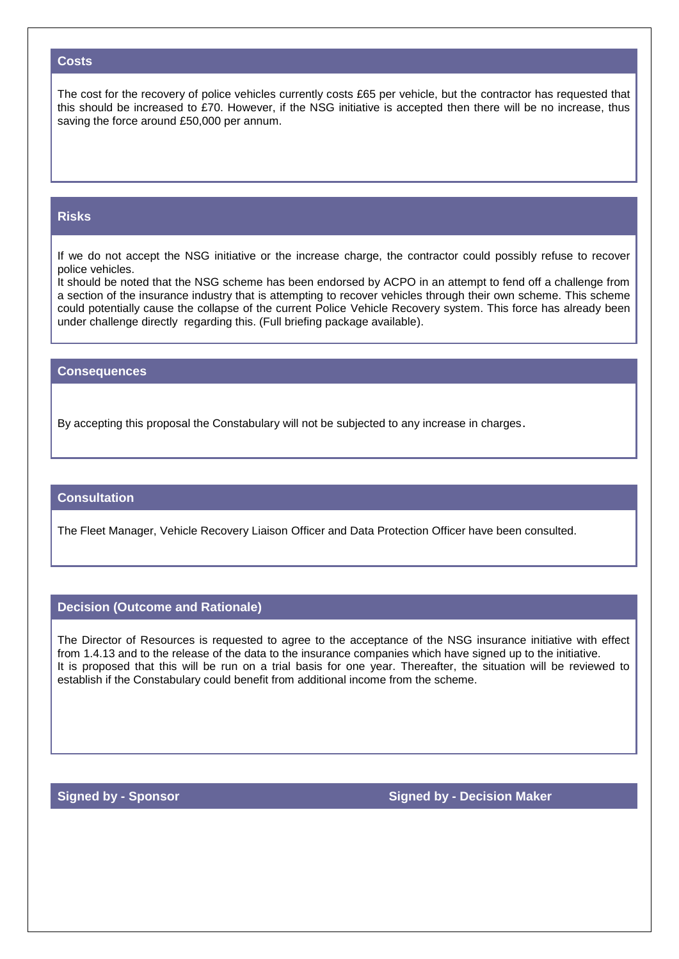#### **Costs**

The cost for the recovery of police vehicles currently costs £65 per vehicle, but the contractor has requested that this should be increased to £70. However, if the NSG initiative is accepted then there will be no increase, thus saving the force around £50,000 per annum.

#### **Risks**

If we do not accept the NSG initiative or the increase charge, the contractor could possibly refuse to recover police vehicles.

It should be noted that the NSG scheme has been endorsed by ACPO in an attempt to fend off a challenge from a section of the insurance industry that is attempting to recover vehicles through their own scheme. This scheme could potentially cause the collapse of the current Police Vehicle Recovery system. This force has already been under challenge directly regarding this. (Full briefing package available).

#### **Consequences**

By accepting this proposal the Constabulary will not be subjected to any increase in charges.

#### **Consultation**

The Fleet Manager, Vehicle Recovery Liaison Officer and Data Protection Officer have been consulted.

#### **Decision (Outcome and Rationale)**

The Director of Resources is requested to agree to the acceptance of the NSG insurance initiative with effect from 1.4.13 and to the release of the data to the insurance companies which have signed up to the initiative. It is proposed that this will be run on a trial basis for one year. Thereafter, the situation will be reviewed to establish if the Constabulary could benefit from additional income from the scheme.

**Signed by - Sponsor Signed by - Decision Maker**